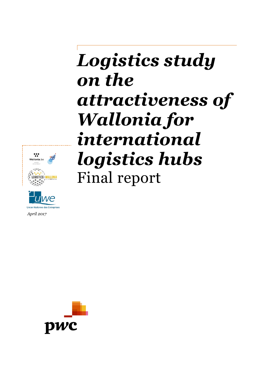# *Logistics study on the attractiveness of Wallonia for international logistics hubs* Final report





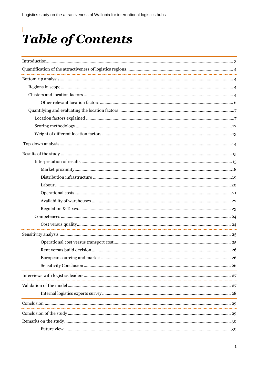# Table of Contents

| <u> 1989 - Johann Stoff, amerikansk politiker (d. 1989)</u> |  |
|-------------------------------------------------------------|--|
|                                                             |  |
|                                                             |  |
|                                                             |  |
|                                                             |  |
|                                                             |  |
|                                                             |  |
|                                                             |  |
|                                                             |  |
|                                                             |  |
|                                                             |  |
|                                                             |  |
|                                                             |  |
|                                                             |  |
|                                                             |  |
|                                                             |  |
|                                                             |  |
|                                                             |  |
|                                                             |  |
|                                                             |  |
|                                                             |  |
|                                                             |  |
|                                                             |  |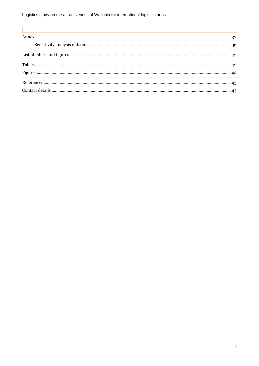$\overline{1}$ 

| <u> 1999 - Jan Samuel Barbara, presidente e a contra a contra a contra a contra a contra a contra a contra a con</u> |  |
|----------------------------------------------------------------------------------------------------------------------|--|
|                                                                                                                      |  |
| ,我们也不能会有一个人的事情。""我们不能会有一个人的事情。""我们不能会有一个人的事情。""我们不能会有一个人的事情。""我们不能会有一个人的事情。""我们不                                     |  |
|                                                                                                                      |  |
|                                                                                                                      |  |
|                                                                                                                      |  |
|                                                                                                                      |  |
|                                                                                                                      |  |
|                                                                                                                      |  |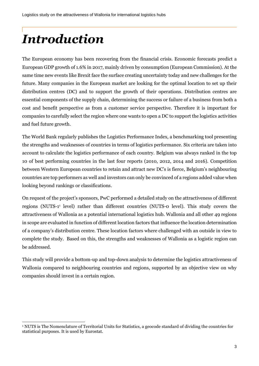# <span id="page-3-0"></span>*Introduction*

The European economy has been recovering from the financial crisis. Economic forecasts predict a European GDP growth of 1.6% in 2017, mainly driven by consumption (European Commission). At the same time new events like Brexit face the surface creating uncertainty today and new challenges for the future. Many companies in the European market are looking for the optimal location to set up their distribution centres (DC) and to support the growth of their operations. Distribution centres are essential components of the supply chain, determining the success or failure of a business from both a cost and benefit perspective as from a customer service perspective. Therefore it is important for companies to carefully select the region where one wants to open a DC to support the logistics activities and fuel future growth.

The World Bank regularly publishes the Logistics Performance Index, a benchmarking tool presenting the strengths and weaknesses of countries in terms of logistics performance. Six criteria are taken into account to calculate the logistics performance of each country. Belgium was always ranked in the top 10 of best performing countries in the last four reports (2010, 2012, 2014 and 2016). Competition between Western European countries to retain and attract new DC's is fierce, Belgium's neighbouring countries are top performers as well and investors can only be convinced of a regions added value when looking beyond rankings or classifications.

On request of the project's sponsors, PwC performed a detailed study on the attractiveness of different regions (NUTS-1 1 level) rather than different countries (NUTS-0 level). This study covers the attractiveness of Wallonia as a potential international logistics hub. Wallonia and all other 49 regions in scope are evaluated in function of different location factors that influence the location determination of a company's distribution centre. These location factors where challenged with an outside in view to complete the study. Based on this, the strengths and weaknesses of Wallonia as a logistic region can be addressed.

This study will provide a bottom-up and top-down analysis to determine the logistics attractiveness of Wallonia compared to neighbouring countries and regions, supported by an objective view on why companies should invest in a certain region.

<sup>1</sup> <sup>1</sup> NUTS is The Nomenclature of Territorial Units for Statistics, a geocode standard of dividing the countries for statistical purposes. It is used by Eurostat.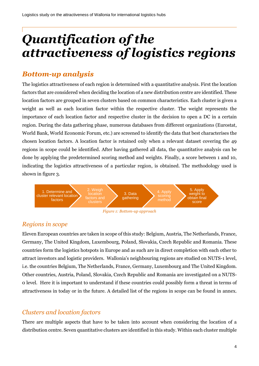# <span id="page-4-0"></span>*Quantification of the attractiveness of logistics regions*

## <span id="page-4-1"></span>*Bottom-up analysis*

The logistics attractiveness of each region is determined with a quantitative analysis. First the location factors that are considered when deciding the location of a new distribution centre are identified. These location factors are grouped in seven clusters based on common characteristics. Each cluster is given a weight as well as each location factor within the respective cluster. The weight represents the importance of each location factor and respective cluster in the decision to open a DC in a certain region. During the data gathering phase, numerous databases from different organizations (Eurostat, World Bank, World Economic Forum, etc.) are screened to identify the data that best characterises the chosen location factors. A location factor is retained only when a relevant dataset covering the 49 regions in scope could be identified. After having gathered all data, the quantitative analysis can be done by applying the predetermined scoring method and weights. Finally, a score between 1 and 10, indicating the logistics attractiveness of a particular region, is obtained. The methodology used is shown in figure 3.





## <span id="page-4-2"></span>*Regions in scope*

Eleven European countries are taken in scope of this study: Belgium, Austria, The Netherlands, France, Germany, The United Kingdom, Luxembourg, Poland, Slovakia, Czech Republic and Romania. These countries form the logistics hotspots in Europe and as such are in direct completion with each other to attract investors and logistic providers. Wallonia's neighbouring regions are studied on NUTS-1 level, i.e. the countries Belgium, The Netherlands, France, Germany, Luxembourg and The United Kingdom. Other countries, Austria, Poland, Slovakia, Czech Republic and Romania are investigated on a NUTS-0 level. Here it is important to understand if these countries could possibly form a threat in terms of attractiveness in today or in the future. A detailed list of the regions in scope can be found in annex.

## <span id="page-4-3"></span>*Clusters and location factors*

There are multiple aspects that have to be taken into account when considering the location of a distribution centre. Seven quantitative clusters are identified in this study. Within each cluster multiple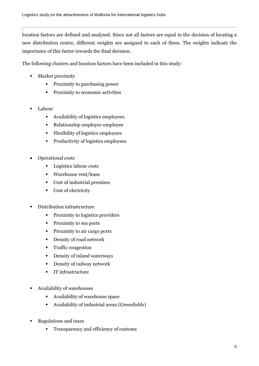location factors are defined and analysed. Since not all factors are equal in the decision of locating a new distribution centre, different weights are assigned to each of them. The weights indicate the importance of this factor towards the final decision.

The following clusters and location factors have been included in this study:

- Market proximity
	- **Proximity to purchasing power**
	- **•** Proximity to economic activities
- Labour
	- Availability of logistics employees
	- Relationship employer-employee
	- Flexibility of logistics employees
	- Productivity of logistics employees
- Operational costs
	- **Logistics labour costs**
	- Warehouse rent/lease
	- Cost of industrial premises
	- Cost of electricity
- Distribution infrastructure
	- **Proximity to logistics providers**
	- Proximity to sea ports
	- Proximity to air cargo ports
	- **•** Density of road network
	- **Traffic congestion**
	- **-** Density of inland waterways
	- **Density of railway network**
	- **IT infrastructure**
- Availability of warehouses
	- Availability of warehouse space
	- Availability of industrial areas (Greenfields)
- Regulations and taxes
	- **Transparency and efficiency of customs**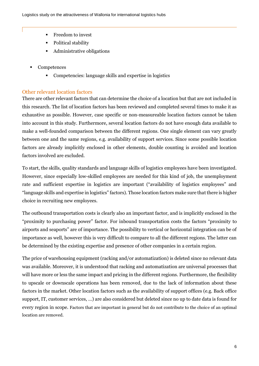- **Fixt** Freedom to invest
- Political stability
- **•** Administrative obligations
- **Competences** 
	- Competencies: language skills and expertise in logistics

## <span id="page-6-0"></span>Other relevant location factors

There are other relevant factors that can determine the choice of a location but that are not included in this research. The list of location factors has been reviewed and completed several times to make it as exhaustive as possible. However, case specific or non-measureable location factors cannot be taken into account in this study. Furthermore, several location factors do not have enough data available to make a well-founded comparison between the different regions. One single element can vary greatly between one and the same regions, e.g. availability of support services. Since some possible location factors are already implicitly enclosed in other elements, double counting is avoided and location factors involved are excluded.

To start, the skills, quality standards and language skills of logistics employees have been investigated. However, since especially low-skilled employees are needed for this kind of job, the unemployment rate and sufficient expertise in logistics are important ("availability of logistics employees" and "language skills and expertise in logistics" factors). Those location factors make sure that there is higher choice in recruiting new employees.

The outbound transportation costs is clearly also an important factor, and is implicitly enclosed in the "proximity to purchasing power" factor. For inbound transportation costs the factors "proximity to airports and seaports" are of importance. The possibility to vertical or horizontal integration can be of importance as well, however this is very difficult to compare to all the different regions. The latter can be determined by the existing expertise and presence of other companies in a certain region.

The price of warehousing equipment (racking and/or automatization) is deleted since no relevant data was available. Moreover, it is understood that racking and automatization are universal processes that will have more or less the same impact and pricing in the different regions. Furthermore, the flexibility to upscale or downscale operations has been removed, due to the lack of information about these factors in the market. Other location factors such as the availability of support offices (e.g. Back office support, IT, customer services, …) are also considered but deleted since no up to date data is found for every region in scope. Factors that are important in general but do not contribute to the choice of an optimal location are removed.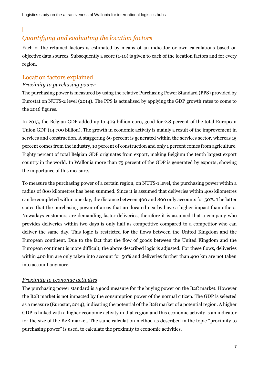## <span id="page-7-0"></span>*Quantifying and evaluating the location factors*

Each of the retained factors is estimated by means of an indicator or own calculations based on objective data sources. Subsequently a score (1-10) is given to each of the location factors and for every region.

## <span id="page-7-1"></span>Location factors explained

### *Proximity to purchasing power*

The purchasing power is measured by using the relative Purchasing Power Standard (PPS) provided by Eurostat on NUTS-2 level (2014). The PPS is actualised by applying the GDP growth rates to come to the 2016 figures.

In 2015, the Belgian GDP added up to 409 billion euro, good for 2.8 percent of the total European Union GDP (14.700 billion). The growth in economic activity is mainly a result of the improvement in services and construction. A staggering 69 percent is generated within the services sector, whereas 15 percent comes from the industry, 10 percent of construction and only 1 percent comes from agriculture. Eighty percent of total Belgian GDP originates from export, making Belgium the tenth largest export country in the world. In Wallonia more than 75 percent of the GDP is generated by exports, showing the importance of this measure.

To measure the purchasing power of a certain region, on NUTS-1 level, the purchasing power within a radius of 800 kilometres has been summed. Since it is assumed that deliveries within 400 kilometres can be completed within one day, the distance between 400 and 800 only accounts for 50%. The latter states that the purchasing power of areas that are located nearby have a higher impact than others. Nowadays customers are demanding faster deliveries, therefore it is assumed that a company who provides deliveries within two days is only half as competitive compared to a competitor who can deliver the same day. This logic is restricted for the flows between the United Kingdom and the European continent. Due to the fact that the flow of goods between the United Kingdom and the European continent is more difficult, the above described logic is adjusted. For these flows, deliveries within 400 km are only taken into account for 50% and deliveries further than 400 km are not taken into account anymore.

## *Proximity to economic activities*

The purchasing power standard is a good measure for the buying power on the B2C market. However the B2B market is not impacted by the consumption power of the normal citizen. The GDP is selected as a measure (Eurostat, 2014), indicating the potential of the B2B market of a potential region. A higher GDP is linked with a higher economic activity in that region and this economic activity is an indicator for the size of the B2B market. The same calculation method as described in the topic "proximity to purchasing power" is used, to calculate the proximity to economic activities.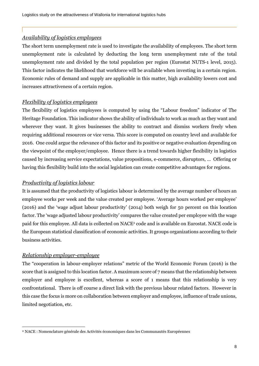## *Availability of logistics employees*

The short term unemployment rate is used to investigate the availability of employees. The short term unemployment rate is calculated by deducting the long term unemployment rate of the total unemployment rate and divided by the total population per region (Eurostat NUTS-1 level, 2015). This factor indicates the likelihood that workforce will be available when investing in a certain region. Economic rules of demand and supply are applicable in this matter, high availability lowers cost and increases attractiveness of a certain region.

## *Flexibility of logistics employees*

The flexibility of logistics employees is computed by using the "Labour freedom" indicator of The Heritage Foundation. This indicator shows the ability of individuals to work as much as they want and wherever they want. It gives businesses the ability to contract and dismiss workers freely when requiring additional resources or vice versa. This score is computed on country level and available for 2016. One could argue the relevance of this factor and its positive or negative evaluation depending on the viewpoint of the employer/employee. Hence there is a trend towards higher flexibility in logistics caused by increasing service expectations, value propositions, e-commerce, disruptors, … Offering or having this flexibility build into the social legislation can create competitive advantages for regions.

### *Productivity of logistics labour*

It is assumed that the productivity of logistics labour is determined by the average number of hours an employee works per week and the value created per employee. 'Average hours worked per employee' (2016) and the 'wage adjust labour productivity' (2014) both weigh for 50 percent on this location factor. The 'wage adjusted labour productivity' compares the value created per employee with the wage paid for this employee. All data is collected on NACE<sup>2</sup> code and is available on Eurostat. NACE code is the European statistical classification of economic activities. It groups organizations according to their business activities.

## *Relationship employer-employee*

-

The "cooperation in labour-employer relations" metric of the World Economic Forum (2016) is the score that is assigned to this location factor. A maximum score of 7 means that the relationship between employer and employee is excellent, whereas a score of 1 means that this relationship is very confrontational. There is off course a direct link with the previous labour related factors. However in this case the focus is more on collaboration between employer and employee, influence of trade unions, limited negotiation, etc.

<sup>2</sup> NACE : Nomenclature générale des Activités économiques dans les Communautés Européennes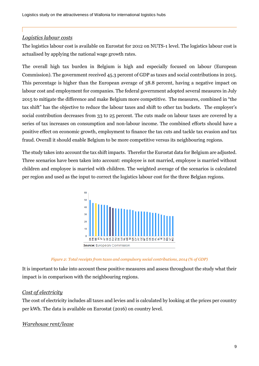## *Logistics labour costs*

The logistics labour cost is available on Eurostat for 2012 on NUTS-1 level. The logistics labour cost is actualised by applying the national wage growth rates.

The overall high tax burden in Belgium is high and especially focused on labour (European Commission). The government received 45.3 percent of GDP as taxes and social contributions in 2015. This percentage is higher than the European average of 38.8 percent, having a negative impact on labour cost and employment for companies. The federal government adopted several measures in July 2015 to mitigate the difference and make Belgium more competitive. The measures, combined in "the tax shift" has the objective to reduce the labour taxes and shift to other tax buckets. The employer's social contribution decreases from 33 to 25 percent. The cuts made on labour taxes are covered by a series of tax increases on consumption and non-labour income. The combined efforts should have a positive effect on economic growth, employment to finance the tax cuts and tackle tax evasion and tax fraud. Overall it should enable Belgium to be more competitive versus its neighbouring regions.

The study takes into account the tax shift impacts. Therefor the Eurostat data for Belgium are adjusted. Three scenarios have been taken into account: employee is not married, employee is married without children and employee is married with children. The weighted average of the scenarios is calculated per region and used as the input to correct the logistics labour cost for the three Belgian regions.



*Figure 2: Total receipts from taxes and compulsory social contributions, 2014 (% of GDP)*

<span id="page-9-0"></span>It is important to take into account these positive measures and assess throughout the study what their impact is in comparison with the neighbouring regions.

## *Cost of electricity*

The cost of electricity includes all taxes and levies and is calculated by looking at the prices per country per kWh. The data is available on Eurostat (2016) on country level.

## *Warehouse rent/lease*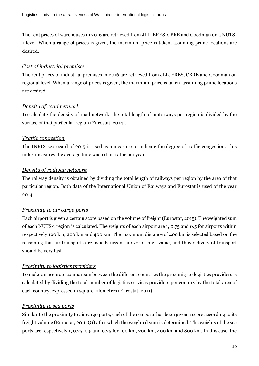The rent prices of warehouses in 2016 are retrieved from JLL, ERES, CBRE and Goodman on a NUTS-1 level. When a range of prices is given, the maximum price is taken, assuming prime locations are desired.

## *Cost of industrial premises*

The rent prices of industrial premises in 2016 are retrieved from JLL, ERES, CBRE and Goodman on regional level. When a range of prices is given, the maximum price is taken, assuming prime locations are desired.

## *Density of road network*

To calculate the density of road network, the total length of motorways per region is divided by the surface of that particular region (Eurostat, 2014).

## *Traffic congestion*

The INRIX scorecard of 2015 is used as a measure to indicate the degree of traffic congestion. This index measures the average time wasted in traffic per year.

## *Density of railway network*

The railway density is obtained by dividing the total length of railways per region by the area of that particular region. Both data of the International Union of Railways and Eurostat is used of the year 2014.

## *Proximity to air cargo ports*

Each airport is given a certain score based on the volume of freight (Eurostat, 2015). The weighted sum of each NUTS-1 region is calculated. The weights of each airport are 1, 0.75 and 0.5 for airports within respectively 100 km, 200 km and 400 km. The maximum distance of 400 km is selected based on the reasoning that air transports are usually urgent and/or of high value, and thus delivery of transport should be very fast.

## *Proximity to logistics providers*

To make an accurate comparison between the different countries the proximity to logistics providers is calculated by dividing the total number of logistics services providers per country by the total area of each country, expressed in square kilometres (Eurostat, 2011).

## *Proximity to sea ports*

Similar to the proximity to air cargo ports, each of the sea ports has been given a score according to its freight volume (Eurostat, 2016 Q1) after which the weighted sum is determined. The weights of the sea ports are respectively 1, 0.75, 0.5 and 0.25 for 100 km, 200 km, 400 km and 800 km. In this case, the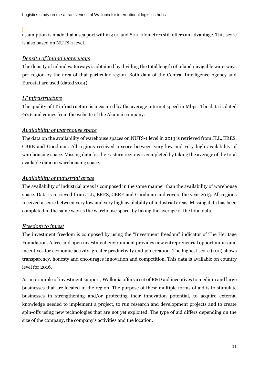assumption is made that a sea port within 400 and 800 kilometres still offers an advantage. This score is also based on NUTS-1 level.

#### *Density of inland waterways*

The density of inland waterways is obtained by dividing the total length of inland navigable waterways per region by the area of that particular region. Both data of the Central Intelligence Agency and Eurostat are used (dated 2014).

### *IT infrastructure*

The quality of IT infrastructure is measured by the average internet speed in Mbps. The data is dated 2016 and comes from the website of the Akamai company.

#### *Availability of warehouse space*

The data on the availability of warehouse spaces on NUTS-1 level in 2013 is retrieved from JLL, ERES, CBRE and Goodman. All regions received a score between very low and very high availability of warehousing space. Missing data for the Eastern regions is completed by taking the average of the total available data on warehousing space.

### *Availability of industrial areas*

The availability of industrial areas is composed in the same manner than the availability of warehouse space. Data is retrieved from JLL, ERES, CBRE and Goodman and covers the year 2013. All regions received a score between very low and very high availability of industrial areas. Missing data has been completed in the same way as the warehouse space, by taking the average of the total data.

### *Freedom to invest*

The investment freedom is composed by using the "Investment freedom" indicator of The Heritage Foundation. A free and open investment environment provides new entrepreneurial opportunities and incentives for economic activity, greater productivity and job creation. The highest score (100) shows transparency, honesty and encourages innovation and competition. This data is available on country level for 2016.

As an example of investment support, Wallonia offers a set of R&D aid incentives to medium and large businesses that are located in the region. The purpose of these multiple forms of aid is to stimulate businesses in strengthening and/or protecting their innovation potential, to acquire external knowledge needed to implement a project, to run research and development projects and to create spin-offs using new technologies that are not yet exploited. The type of aid differs depending on the size of the company, the company's activities and the location.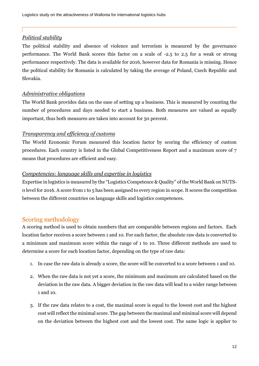## *Political stability*

The political stability and absence of violence and terrorism is measured by the governance performance. The World Bank scores this factor on a scale of -2.5 to 2.5 for a weak or strong performance respectively. The data is available for 2016, however data for Romania is missing. Hence the political stability for Romania is calculated by taking the average of Poland, Czech Republic and Slovakia.

## *Administrative obligations*

The World Bank provides data on the ease of setting up a business. This is measured by counting the number of procedures and days needed to start a business. Both measures are valued as equally important, thus both measures are taken into account for 50 percent.

## *Transparency and efficiency of customs*

The World Economic Forum measured this location factor by scoring the efficiency of custom procedures. Each country is listed in the Global Competitiveness Report and a maximum score of 7 means that procedures are efficient and easy.

## *Competencies: language skills and expertise in logistics*

Expertise in logistics is measured by the "Logistics Competence & Quality" of the World Bank on NUTS-0 level for 2016. A score from 1 to 5 has been assigned to every region in scope. It scores the competition between the different countries on language skills and logistics competences.

## <span id="page-12-0"></span>Scoring methodology

A scoring method is used to obtain numbers that are comparable between regions and factors. Each location factor receives a score between 1 and 10. For each factor, the absolute raw data is converted to a minimum and maximum score within the range of 1 to 10. Three different methods are used to determine a score for each location factor, depending on the type of raw data:

- 1. In case the raw data is already a score, the score will be converted to a score between 1 and 10.
- 2. When the raw data is not yet a score, the minimum and maximum are calculated based on the deviation in the raw data. A bigger deviation in the raw data will lead to a wider range between 1 and 10.
- 3. If the raw data relates to a cost, the maximal score is equal to the lowest cost and the highest cost will reflect the minimal score. The gap between the maximal and minimal score will depend on the deviation between the highest cost and the lowest cost. The same logic is applier to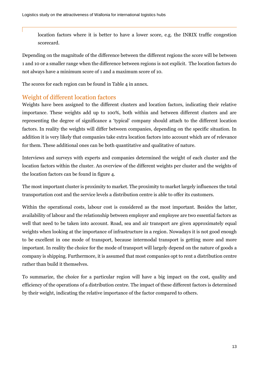location factors where it is better to have a lower score, e.g. the INRIX traffic congestion scorecard.

Depending on the magnitude of the difference between the different regions the score will be between 1 and 10 or a smaller range when the difference between regions is not explicit. The location factors do not always have a minimum score of 1 and a maximum score of 10.

The scores for each region can be found in Table 4 in annex.

## <span id="page-13-0"></span>Weight of different location factors

Weights have been assigned to the different clusters and location factors, indicating their relative importance. These weights add up to 100%, both within and between different clusters and are representing the degree of significance a 'typical' company should attach to the different location factors. In reality the weights will differ between companies, depending on the specific situation. In addition it is very likely that companies take extra location factors into account which are of relevance for them. These additional ones can be both quantitative and qualitative of nature.

Interviews and surveys with experts and companies determined the weight of each cluster and the location factors within the cluster. An overview of the different weights per cluster and the weights of the location factors can be found in figure 4.

The most important cluster is proximity to market. The proximity to market largely influences the total transportation cost and the service levels a distribution centre is able to offer its customers.

Within the operational costs, labour cost is considered as the most important. Besides the latter, availability of labour and the relationship between employer and employee are two essential factors as well that need to be taken into account. Road, sea and air transport are given approximately equal weights when looking at the importance of infrastructure in a region. Nowadays it is not good enough to be excellent in one mode of transport, because intermodal transport is getting more and more important. In reality the choice for the mode of transport will largely depend on the nature of goods a company is shipping. Furthermore, it is assumed that most companies opt to rent a distribution centre rather than build it themselves.

To summarize, the choice for a particular region will have a big impact on the cost, quality and efficiency of the operations of a distribution centre. The impact of these different factors is determined by their weight, indicating the relative importance of the factor compared to others.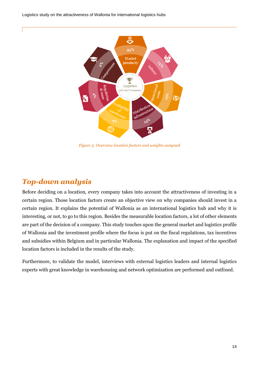Logistics study on the attractiveness of Wallonia for international logistics hubs



*Figure 3: Overview location factors and weights assigned*

## <span id="page-14-0"></span>*Top-down analysis*

Before deciding on a location, every company takes into account the attractiveness of investing in a certain region. Those location factors create an objective view on why companies should invest in a certain region. It explains the potential of Wallonia as an international logistics hub and why it is interesting, or not, to go to this region. Besides the measurable location factors, a lot of other elements are part of the decision of a company. This study touches upon the general market and logistics profile of Wallonia and the investment profile where the focus is put on the fiscal regulations, tax incentives and subsidies within Belgium and in particular Wallonia. The explanation and impact of the specified location factors is included in the results of the study.

Furthermore, to validate the model, interviews with external logistics leaders and internal logistics experts with great knowledge in warehousing and network optimization are performed and outlined.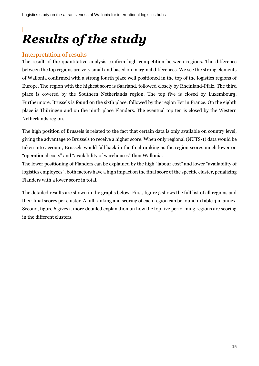# <span id="page-15-0"></span>*Results of the study*

## <span id="page-15-1"></span>Interpretation of results

The result of the quantitative analysis confirm high competition between regions. The difference between the top regions are very small and based on marginal differences. We see the strong elements of Wallonia confirmed with a strong fourth place well positioned in the top of the logistics regions of Europe. The region with the highest score is Saarland, followed closely by Rheinland-Pfalz. The third place is covered by the Southern Netherlands region. The top five is closed by Luxembourg. Furthermore, Brussels is found on the sixth place, followed by the region Est in France. On the eighth place is Thüringen and on the ninth place Flanders. The eventual top ten is closed by the Western Netherlands region.

The high position of Brussels is related to the fact that certain data is only available on country level, giving the advantage to Brussels to receive a higher score. When only regional (NUTS-1) data would be taken into account, Brussels would fall back in the final ranking as the region scores much lower on "operational costs" and "availability of warehouses" then Wallonia.

The lower positioning of Flanders can be explained by the high "labour cost" and lower "availability of logistics employees", both factors have a high impact on the final score of the specific cluster, penalizing Flanders with a lower score in total.

The detailed results are shown in the graphs below. First, figure 5 shows the full list of all regions and their final scores per cluster. A full ranking and scoring of each region can be found in table 4 in annex. Second, figure 6 gives a more detailed explanation on how the top five performing regions are scoring in the different clusters.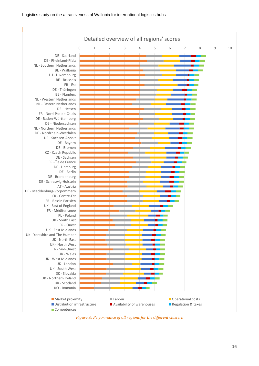

<span id="page-16-0"></span>*Figure 4: Performance of all regions for the different clusters*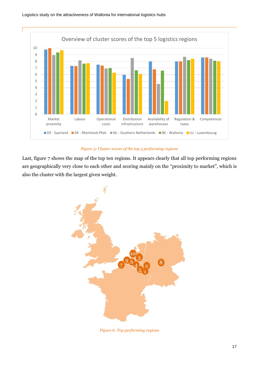

#### *Figure 5: Cluster scores of the top 5 performing regions*

<span id="page-17-0"></span>Last, figure 7 shows the map of the top ten regions. It appears clearly that all top performing regions are geographically very close to each other and scoring mainly on the "proximity to market", which is also the cluster with the largest given weight.



<span id="page-17-1"></span>*Figure 6: Top performing regions*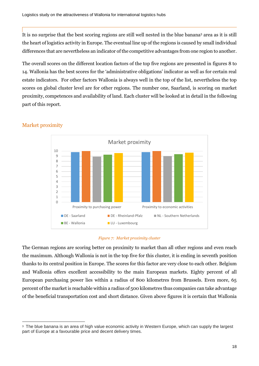It is no surprise that the best scoring regions are still well nested in the blue banana<sup>3</sup> area as it is still the heart of logistics activity in Europe. The eventual line up of the regions is caused by small individual differences that are nevertheless an indicator of the competitive advantages from one region to another.

The overall scores on the different location factors of the top five regions are presented in figures 8 to 14. Wallonia has the best scores for the 'administrative obligations' indicator as well as for certain real estate indicators. For other factors Wallonia is always well in the top of the list, nevertheless the top scores on global cluster level are for other regions. The number one, Saarland, is scoring on market proximity, competences and availability of land. Each cluster will be looked at in detail in the following part of this report.



## <span id="page-18-0"></span>Market proximity

-

#### *Figure 7: Market proximity cluster*

<span id="page-18-1"></span>The German regions are scoring better on proximity to market than all other regions and even reach the maximum. Although Wallonia is not in the top five for this cluster, it is ending in seventh position thanks to its central position in Europe. The scores for this factor are very close to each other. Belgium and Wallonia offers excellent accessibility to the main European markets. Eighty percent of all European purchasing power lies within a radius of 800 kilometres from Brussels. Even more, 65 percent of the market is reachable within a radius of 500 kilometres thus companies can take advantage of the beneficial transportation cost and short distance. Given above figures it is certain that Wallonia

<sup>3</sup> The blue banana is an area of high value economic activity in Western Europe, which can supply the largest part of Europe at a favourable price and decent delivery times.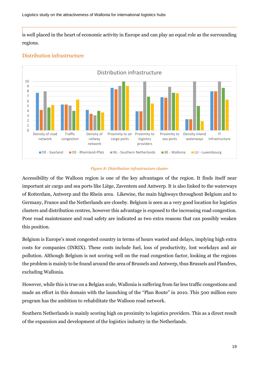is well placed in the heart of economic activity in Europe and can play an equal role as the surrounding regions.



## <span id="page-19-0"></span>Distribution infrastructure

#### *Figure 8: Distribution infrastructure cluster*

<span id="page-19-1"></span>Accessibility of the Walloon region is one of the key advantages of the region. It finds itself near important air cargo and sea ports like Liège, Zaventem and Antwerp. It is also linked to the waterways of Rotterdam, Antwerp and the Rhein area. Likewise, the main highways throughout Belgium and to Germany, France and the Netherlands are closeby. Belgium is seen as a very good location for logistics clusters and distribution centres, however this advantage is exposed to the increasing road congestion. Poor road maintenance and road safety are indicated as two extra reasons that can possibly weaken this position.

Belgium is Europe's most congested country in terms of hours wasted and delays, implying high extra costs for companies (INRIX). These costs include fuel, loss of productivity, lost workdays and air pollution. Although Belgium is not scoring well on the road congestion factor, looking at the regions the problem is mainly to be found around the area of Brussels and Antwerp, thus Brussels and Flandres, excluding Wallonia.

However, while this is true on a Belgian scale, Wallonia is suffering from far less traffic congestions and made an effort in this domain with the launching of the "Plan Route" in 2010. This 500 million euro program has the ambition to rehabilitate the Walloon road network.

Southern Netherlands is mainly scoring high on proximity to logistics providers. This as a direct result of the expansion and development of the logistics industry in the Netherlands.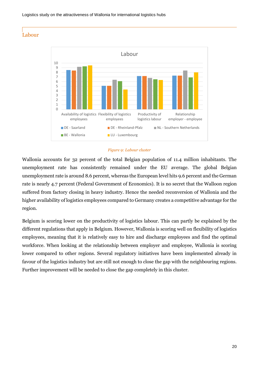## <span id="page-20-0"></span>Labour



#### *Figure 9: Labour cluster*

<span id="page-20-1"></span>Wallonia accounts for 32 percent of the total Belgian population of 11.4 million inhabitants. The unemployment rate has consistently remained under the EU average. The global Belgian unemployment rate is around 8.6 percent, whereas the European level hits 9.6 percent and the German rate is nearly 4.7 percent (Federal Government of Economics). It is no secret that the Walloon region suffered from factory closing in heavy industry. Hence the needed reconversion of Wallonia and the higher availability of logistics employees compared to Germany creates a competitive advantage for the region.

Belgium is scoring lower on the productivity of logistics labour. This can partly be explained by the different regulations that apply in Belgium. However, Wallonia is scoring well on flexibility of logistics employees, meaning that it is relatively easy to hire and discharge employees and find the optimal workforce. When looking at the relationship between employer and employee, Wallonia is scoring lower compared to other regions. Several regulatory initiatives have been implemented already in favour of the logistics industry but are still not enough to close the gap with the neighbouring regions. Further improvement will be needed to close the gap completely in this cluster.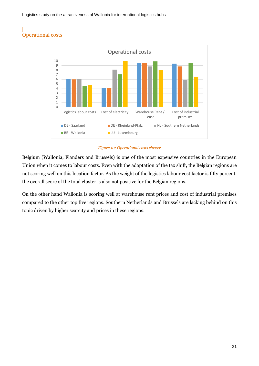## <span id="page-21-0"></span>Operational costs



#### *Figure 10: Operational costs cluster*

<span id="page-21-1"></span>Belgium (Wallonia, Flanders and Brussels) is one of the most expensive countries in the European Union when it comes to labour costs. Even with the adaptation of the tax shift, the Belgian regions are not scoring well on this location factor. As the weight of the logistics labour cost factor is fifty percent, the overall score of the total cluster is also not positive for the Belgian regions.

On the other hand Wallonia is scoring well at warehouse rent prices and cost of industrial premises compared to the other top five regions. Southern Netherlands and Brussels are lacking behind on this topic driven by higher scarcity and prices in these regions.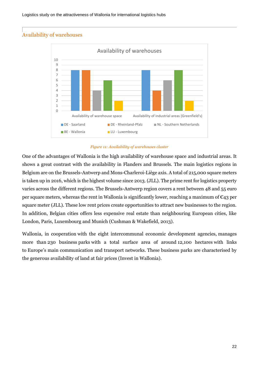## <span id="page-22-0"></span>Availability of warehouses



#### *Figure 11: Availability of warehouses cluster*

<span id="page-22-1"></span>One of the advantages of Wallonia is the high availability of warehouse space and industrial areas. It shows a great contrast with the availability in Flanders and Brussels. The main logistics regions in Belgium are on the Brussels-Antwerp and Mons-Charleroi-Liège axis. A total of 215,000 square meters is taken up in 2016, which is the highest volume since 2013. (JLL). The prime rent for logistics property varies across the different regions. The Brussels-Antwerp region covers a rent between 48 and 55 euro per square meters, whereas the rent in Wallonia is significantly lower, reaching a maximum of  $\epsilon_{43}$  per square meter (JLL). These low rent prices create opportunities to attract new businesses to the region. In addition, Belgian cities offers less expensive real estate than neighbouring European cities, like London, Paris, Luxembourg and Munich (Cushman & Wakefield, 2013).

Wallonia, in cooperation with the eight intercommunal economic development agencies, manages more than 230 business parks with a total surface area of around 12,100 hectares with links to Europe's main communication and transport networks. These business parks are characterised by the generous availability of land at fair prices (Invest in Wallonia).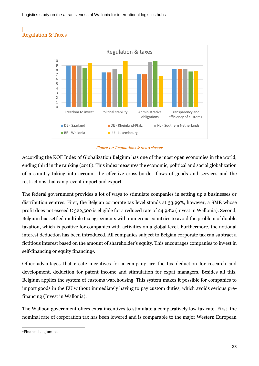## <span id="page-23-0"></span>Regulation & Taxes



*Figure 12: Regulations & taxes cluster*

<span id="page-23-1"></span>According the KOF Index of Globalization Belgium has one of the most open economies in the world, ending third in the ranking (2016). This index measures the economic, political and social globalization of a country taking into account the effective cross-border flows of goods and services and the restrictions that can prevent import and export.

The federal government provides a lot of ways to stimulate companies in setting up a businesses or distribution centres. First, the Belgian corporate tax level stands at 33.99%, however, a SME whose profit does not exceed  $\epsilon$  322,500 is eligible for a reduced rate of 24.98% (Invest in Wallonia). Second, Belgium has settled multiple tax agreements with numerous countries to avoid the problem of double taxation, which is positive for companies with activities on a global level. Furthermore, the notional interest deduction has been introduced. All companies subject to Belgian corporate tax can subtract a fictitious interest based on the amount of shareholder's equity. This encourages companies to invest in self-financing or equity financing<sup>4</sup> .

Other advantages that create incentives for a company are the tax deduction for research and development, deduction for patent income and stimulation for expat managers. Besides all this, Belgium applies the system of customs warehousing. This system makes it possible for companies to import goods in the EU without immediately having to pay custom duties, which avoids serious prefinancing (Invest in Wallonia).

The Walloon government offers extra incentives to stimulate a comparatively low tax rate. First, the nominal rate of corporation tax has been lowered and is comparable to the major Western European

<sup>-</sup><sup>4</sup>Finance.belgium.be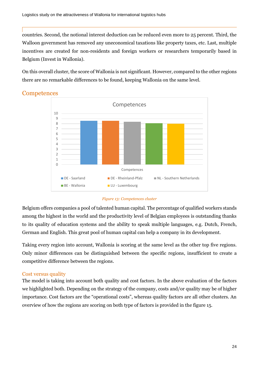countries. Second, the notional interest deduction can be reduced even more to 25 percent. Third, the Walloon government has removed any uneconomical taxations like property taxes, etc. Last, multiple incentives are created for non-residents and foreign workers or researchers temporarily based in Belgium (Invest in Wallonia).

On this overall cluster, the score of Wallonia is not significant. However, compared to the other regions there are no remarkable differences to be found, keeping Wallonia on the same level.



## <span id="page-24-0"></span>**Competences**



<span id="page-24-2"></span>Belgium offers companies a pool of talented human capital. The percentage of qualified workers stands among the highest in the world and the productivity level of Belgian employees is outstanding thanks to its quality of education systems and the ability to speak multiple languages, e.g. Dutch, French, German and English. This great pool of human capital can help a company in its development.

Taking every region into account, Wallonia is scoring at the same level as the other top five regions. Only minor differences can be distinguished between the specific regions, insufficient to create a competitive difference between the regions.

## <span id="page-24-1"></span>Cost versus quality

The model is taking into account both quality and cost factors. In the above evaluation of the factors we highlighted both. Depending on the strategy of the company, costs and/or quality may be of higher importance. Cost factors are the "operational costs", whereas quality factors are all other clusters. An overview of how the regions are scoring on both type of factors is provided in the figure 15.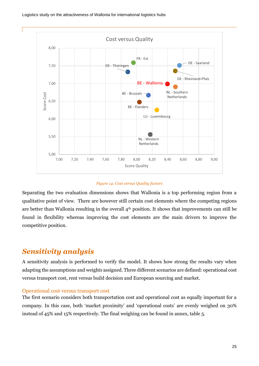

#### *Figure 14: Cost versus Quality factors*

<span id="page-25-2"></span>Separating the two evaluation dimensions shows that Wallonia is a top performing region from a qualitative point of view. There are however still certain cost elements where the competing regions are better than Wallonia resulting in the overall 4<sup>th</sup> position. It shows that improvements can still be found in flexibility whereas improving the cost elements are the main drivers to improve the competitive position.

## <span id="page-25-0"></span>*Sensitivity analysis*

A sensitivity analysis is performed to verify the model. It shows how strong the results vary when adapting the assumptions and weights assigned. Three different scenarios are defined: operational cost versus transport cost, rent versus build decision and European sourcing and market.

#### <span id="page-25-1"></span>Operational cost versus transport cost

The first scenario considers both transportation cost and operational cost as equally important for a company. In this case, both 'market proximity' and 'operational costs' are evenly weighed on 30% instead of 45% and 15% respectively. The final weighing can be found in annex, table 5.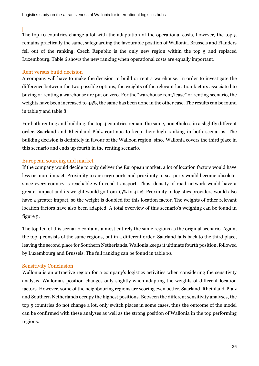The top 10 countries change a lot with the adaptation of the operational costs, however, the top 5 remains practically the same, safeguarding the favourable position of Wallonia. Brussels and Flanders fell out of the ranking. Czech Republic is the only new region within the top 5 and replaced Luxembourg. Table 6 shows the new ranking when operational costs are equally important.

### <span id="page-26-0"></span>Rent versus build decision

A company will have to make the decision to build or rent a warehouse. In order to investigate the difference between the two possible options, the weights of the relevant location factors associated to buying or renting a warehouse are put on zero. For the "warehouse rent/lease" or renting scenario, the weights have been increased to 45%, the same has been done in the other case. The results can be found in table 7 and table 8.

For both renting and building, the top 4 countries remain the same, nonetheless in a slightly different order. Saarland and Rheinland-Pfalz continue to keep their high ranking in both scenarios. The building decision is definitely in favour of the Walloon region, since Wallonia covers the third place in this scenario and ends up fourth in the renting scenario.

### <span id="page-26-1"></span>European sourcing and market

If the company would decide to only deliver the European market, a lot of location factors would have less or more impact. Proximity to air cargo ports and proximity to sea ports would become obsolete, since every country is reachable with road transport. Thus, density of road network would have a greater impact and its weight would go from 15% to 40%. Proximity to logistics providers would also have a greater impact, so the weight is doubled for this location factor. The weights of other relevant location factors have also been adapted. A total overview of this scenario's weighing can be found in figure 9.

The top ten of this scenario contains almost entirely the same regions as the original scenario. Again, the top 4 consists of the same regions, but in a different order. Saarland falls back to the third place, leaving the second place for Southern Netherlands. Wallonia keeps it ultimate fourth position, followed by Luxembourg and Brussels. The full ranking can be found in table 10.

## <span id="page-26-2"></span>Sensitivity Conclusion

Wallonia is an attractive region for a company's logistics activities when considering the sensitivity analysis. Wallonia's position changes only slightly when adapting the weights of different location factors. However, some of the neighbouring regions are scoring even better. Saarland, Rheinland-Pfalz and Southern Netherlands occupy the highest positions. Between the different sensitivity analyses, the top 5 countries do not change a lot, only switch places in some cases, thus the outcome of the model can be confirmed with these analyses as well as the strong position of Wallonia in the top performing regions.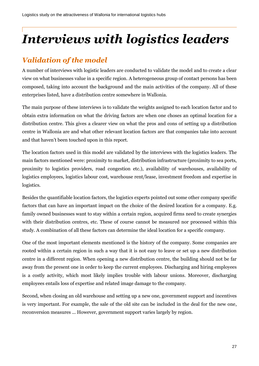# <span id="page-27-0"></span>*Interviews with logistics leaders*

## <span id="page-27-1"></span>*Validation of the model*

A number of interviews with logistic leaders are conducted to validate the model and to create a clear view on what businesses value in a specific region. A heterogeneous group of contact persons has been composed, taking into account the background and the main activities of the company. All of these enterprises listed, have a distribution centre somewhere in Wallonia.

The main purpose of these interviews is to validate the weights assigned to each location factor and to obtain extra information on what the driving factors are when one choses an optimal location for a distribution centre. This gives a clearer view on what the pros and cons of setting up a distribution centre in Wallonia are and what other relevant location factors are that companies take into account and that haven't been touched upon in this report.

The location factors used in this model are validated by the interviews with the logistics leaders. The main factors mentioned were: proximity to market, distribution infrastructure (proximity to sea ports, proximity to logistics providers, road congestion etc.), availability of warehouses, availability of logistics employees, logistics labour cost, warehouse rent/lease, investment freedom and expertise in logistics.

Besides the quantifiable location factors, the logistics experts pointed out some other company specific factors that can have an important impact on the choice of the desired location for a company. E.g. family owned businesses want to stay within a certain region, acquired firms need to create synergies with their distribution centres, etc. These of course cannot be measured nor processed within this study. A combination of all these factors can determine the ideal location for a specific company.

One of the most important elements mentioned is the history of the company. Some companies are rooted within a certain region in such a way that it is not easy to leave or set up a new distribution centre in a different region. When opening a new distribution centre, the building should not be far away from the present one in order to keep the current employees. Discharging and hiring employees is a costly activity, which most likely implies trouble with labour unions. Moreover, discharging employees entails loss of expertise and related image damage to the company.

Second, when closing an old warehouse and setting up a new one, government support and incentives is very important. For example, the sale of the old site can be included in the deal for the new one, reconversion measures ... However, government support varies largely by region.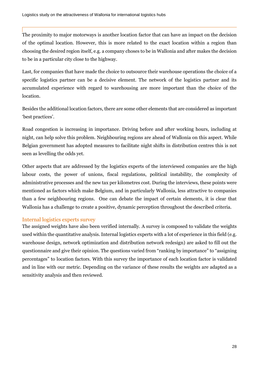The proximity to major motorways is another location factor that can have an impact on the decision of the optimal location. However, this is more related to the exact location within a region than choosing the desired region itself, e.g. a company choses to be in Wallonia and after makes the decision to be in a particular city close to the highway.

Last, for companies that have made the choice to outsource their warehouse operations the choice of a specific logistics partner can be a decisive element. The network of the logistics partner and its accumulated experience with regard to warehousing are more important than the choice of the location.

Besides the additional location factors, there are some other elements that are considered as important 'best practices'.

Road congestion is increasing in importance. Driving before and after working hours, including at night, can help solve this problem. Neighbouring regions are ahead of Wallonia on this aspect. While Belgian government has adopted measures to facilitate night shifts in distribution centres this is not seen as levelling the odds yet.

Other aspects that are addressed by the logistics experts of the interviewed companies are the high labour costs, the power of unions, fiscal regulations, political instability, the complexity of administrative processes and the new tax per kilometres cost. During the interviews, these points were mentioned as factors which make Belgium, and in particularly Wallonia, less attractive to companies than a few neighbouring regions. One can debate the impact of certain elements, it is clear that Wallonia has a challenge to create a positive, dynamic perception throughout the described criteria.

## <span id="page-28-0"></span>Internal logistics experts survey

The assigned weights have also been verified internally. A survey is composed to validate the weights used within the quantitative analysis. Internal logistics experts with a lot of experience in this field (e.g. warehouse design, network optimization and distribution network redesign) are asked to fill out the questionnaire and give their opinion. The questions varied from "ranking by importance" to "assigning percentages" to location factors. With this survey the importance of each location factor is validated and in line with our metric. Depending on the variance of these results the weights are adapted as a sensitivity analysis and then reviewed.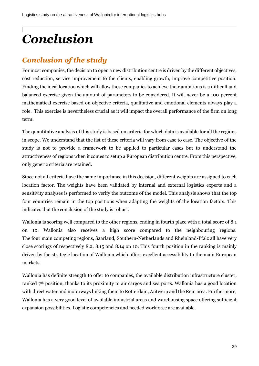# <span id="page-29-0"></span>*Conclusion*

## <span id="page-29-1"></span>*Conclusion of the study*

For most companies, the decision to open a new distribution centre is driven by the different objectives, cost reduction, service improvement to the clients, enabling growth, improve competitive position. Finding the ideal location which will allow these companies to achieve their ambitions is a difficult and balanced exercise given the amount of parameters to be considered. It will never be a 100 percent mathematical exercise based on objective criteria, qualitative and emotional elements always play a role. This exercise is nevertheless crucial as it will impact the overall performance of the firm on long term.

The quantitative analysis of this study is based on criteria for which data is available for all the regions in scope. We understand that the list of these criteria will vary from case to case. The objective of the study is not to provide a framework to be applied to particular cases but to understand the attractiveness of regions when it comes to setup a European distribution centre. From this perspective, only generic criteria are retained.

Since not all criteria have the same importance in this decision, different weights are assigned to each location factor. The weights have been validated by internal and external logistics experts and a sensitivity analyses is performed to verify the outcome of the model. This analysis shows that the top four countries remain in the top positions when adapting the weights of the location factors. This indicates that the conclusion of the study is robust.

Wallonia is scoring well compared to the other regions, ending in fourth place with a total score of 8.1 on 10. Wallonia also receives a high score compared to the neighbouring regions. The four main competing regions, Saarland, Southern-Netherlands and Rheinland-Pfalz all have very close scorings of respectively 8.2, 8.15 and 8.14 on 10. This fourth position in the ranking is mainly driven by the strategic location of Wallonia which offers excellent accessibility to the main European markets.

Wallonia has definite strength to offer to companies, the available distribution infrastructure cluster, ranked 7th position, thanks to its proximity to air cargos and sea ports. Wallonia has a good location with direct water and motorways linking them to Rotterdam, Antwerp and the Rein area. Furthermore, Wallonia has a very good level of available industrial areas and warehousing space offering sufficient expansion possibilities. Logistic competencies and needed workforce are available.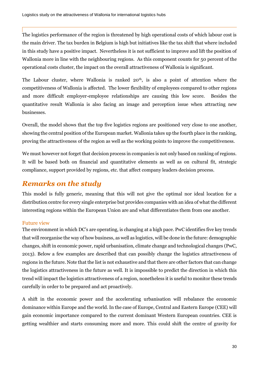The logistics performance of the region is threatened by high operational costs of which labour cost is the main driver. The tax burden in Belgium is high but initiatives like the tax shift that where included in this study have a positive impact. Nevertheless it is not sufficient to improve and lift the position of Wallonia more in line with the neighbouring regions. As this component counts for 50 percent of the operational costs cluster, the impact on the overall attractiveness of Wallonia is significant.

The Labour cluster, where Wallonia is ranked  $20<sup>th</sup>$ , is also a point of attention where the competitiveness of Wallonia is affected. The lower flexibility of employees compared to other regions and more difficult employer-employee relationships are causing this low score. Besides the quantitative result Wallonia is also facing an image and perception issue when attracting new businesses.

Overall, the model shows that the top five logistics regions are positioned very close to one another, showing the central position of the European market. Wallonia takes up the fourth place in the ranking, proving the attractiveness of the region as well as the working points to improve the competitiveness.

We must however not forget that decision process in companies is not only based on ranking of regions. It will be based both on financial and quantitative elements as well as on cultural fit, strategic compliance, support provided by regions, etc. that affect company leaders decision process.

## <span id="page-30-0"></span>*Remarks on the study*

This model is fully generic, meaning that this will not give the optimal nor ideal location for a distribution centre for every single enterprise but provides companies with an idea of what the different interesting regions within the European Union are and what differentiates them from one another.

## <span id="page-30-1"></span>Future view

The environment in which DC's are operating, is changing at a high pace. PwC identifies five key trends that will reorganise the way of how business, as well as logistics, will be done in the future: demographic changes, shift in economic power, rapid urbanisation, climate change and technological changes (PwC, 2013). Below a few examples are described that can possibly change the logistics attractiveness of regions in the future. Note that the list is not exhaustive and that there are other factors that can change the logistics attractiveness in the future as well. It is impossible to predict the direction in which this trend will impact the logistics attractiveness of a region, nonetheless it is useful to monitor these trends carefully in order to be prepared and act proactively.

A shift in the economic power and the accelerating urbanisation will rebalance the economic dominance within Europe and the world. In the case of Europe, Central and Eastern Europe (CEE) will gain economic importance compared to the current dominant Western European countries. CEE is getting wealthier and starts consuming more and more. This could shift the centre of gravity for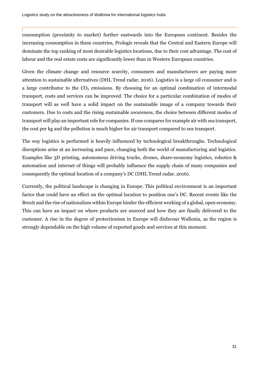consumption (proximity to market) further eastwards into the European continent. Besides the increasing consumption in these countries, Prologis reveals that the Central and Eastern Europe will dominate the top ranking of most desirable logistics locations, due to their cost advantage. The cost of labour and the real estate costs are significantly lower than in Western European countries.

Given the climate change and resource scarcity, consumers and manufacturers are paying more attention to sustainable alternatives (DHL Trend radar, 2016). Logistics is a large oil consumer and is a large contributor to the  $CO<sub>2</sub>$  emissions. By choosing for an optimal combination of intermodal transport, costs and services can be improved. The choice for a particular combination of modes of transport will as well have a solid impact on the sustainable image of a company towards their customers. Due to costs and the rising sustainable awareness, the choice between different modes of transport will play an important role for companies. If one compares for example air with sea transport, the cost per kg and the pollution is much higher for air transport compared to sea transport.

The way logistics is performed is heavily influenced by technological breakthroughs. Technological disruptions arise at an increasing and pace, changing both the world of manufacturing and logistics. Examples like 3D printing, autonomous driving trucks, drones, share-economy logistics, robotics & automation and internet of things will probably influence the supply chain of many companies and consequently the optimal location of a company's DC (DHL Trend radar, 2016).

Currently, the political landscape is changing in Europe. This political environment is an important factor that could have an effect on the optimal location to position one's DC. Recent events like the Brexit and the rise of nationalism within Europe hinder the efficient working of a global, open economy. This can have an impact on where products are sourced and how they are finally delivered to the customer. A rise in the degree of protectionism in Europe will disfavour Wallonia, as the region is strongly dependable on the high volume of exported goods and services at this moment.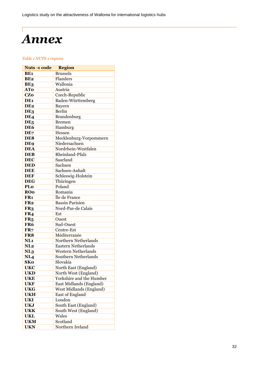# <span id="page-32-0"></span> $\overline{\phantom{a}}$ *Annex*

#### <span id="page-32-1"></span>*Table 1 NUTS-1 regions*

| <b>Nuts-1 code</b> | <b>Region</b>                 |
|--------------------|-------------------------------|
| BE1                | <b>Brussels</b>               |
| BE <sub>2</sub>    | Flanders                      |
| BE3                | Wallonia                      |
| <b>ATo</b>         | Austria                       |
| <b>CZo</b>         | Czech-Republic                |
| DE <sub>1</sub>    | Baden-Württemberg             |
| DE <sub>2</sub>    | Bayern                        |
| DE3                | <b>Berlin</b>                 |
| DE <sub>4</sub>    | Brandenburg                   |
| DE <sub>5</sub>    | <b>Bremen</b>                 |
| DE6                | Hamburg                       |
| DE7                | Hessen                        |
| DE8                | Mecklenburg-Vorpommern        |
| DE <sub>9</sub>    | Niedersachsen                 |
| <b>DEA</b>         | Nordrhein-Westfalen           |
| <b>DEB</b>         | Rheinland-Pfalz               |
| <b>DEC</b>         | Saarland                      |
| <b>DED</b>         | Sachsen                       |
| <b>DEE</b>         | Sachsen-Anhalt                |
| <b>DEF</b>         | Schleswig-Holstein            |
| <b>DEG</b>         | Thüringen                     |
| PLo                | Poland                        |
| <b>ROO</b>         | Romania                       |
| FR <sub>1</sub>    | Île de France                 |
| FR <sub>2</sub>    | <b>Bassin Parisien</b>        |
| FR <sub>3</sub>    | Nord-Pas-de Calais            |
| FR4                | Est                           |
| FR <sub>5</sub>    | Ouest                         |
| FR <sub>6</sub>    | Sud-Ouest                     |
| FR <sub>7</sub>    | Centre-Est                    |
| FR8                | Méditerranée                  |
| NL <sub>1</sub>    | Northern Netherlands          |
| NL <sub>2</sub>    | <b>Eastern Netherlands</b>    |
| NL <sub>3</sub>    | <b>Western Netherlands</b>    |
| NL <sub>4</sub>    | <b>Southern Netherlands</b>   |
| <b>SKo</b>         | Slovakia                      |
| <b>UKC</b>         | North East (England)          |
| <b>UKD</b>         | North West (England)          |
| <b>UKE</b>         | Yorkshire and the Humber      |
| <b>UKF</b>         | East Midlands (England)       |
| <b>UKG</b>         | West Midlands (England)       |
| <b>UKH</b>         | East of England<br>London     |
| <b>UKI</b>         |                               |
| <b>UKJ</b>         | South East (England)          |
| <b>UKK</b>         | South West (England)<br>Wales |
| <b>UKL</b>         |                               |
| <b>UKM</b>         | Scotland                      |
| <b>UKN</b>         | Northern Ireland              |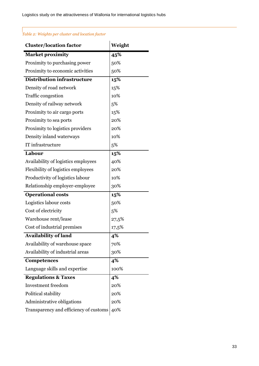## <span id="page-33-0"></span>*Table 2: Weights per cluster and location factor*

| <b>Cluster/location factor</b>         | Weight |
|----------------------------------------|--------|
| <b>Market proximity</b>                | 45%    |
| Proximity to purchasing power          | 50%    |
| Proximity to economic activities       | 50%    |
| <b>Distribution infrastructure</b>     | 15%    |
| Density of road network                | 15%    |
| Traffic congestion                     | 10%    |
| Density of railway network             | 5%     |
| Proximity to air cargo ports           | 15%    |
| Proximity to sea ports                 | 20%    |
| Proximity to logistics providers       | 20%    |
| Density inland waterways               | 10%    |
| IT infrastructure                      | 5%     |
| Labour                                 | 15%    |
| Availability of logistics employees    | 40%    |
| Flexibility of logistics employees     | 20%    |
| Productivity of logistics labour       | 10%    |
| Relationship employer-employee         | 30%    |
| <b>Operational costs</b>               | 15%    |
| Logistics labour costs                 | 50%    |
| Cost of electricity                    | 5%     |
| Warehouse rent/lease                   | 27,5%  |
| Cost of industrial premises            | 17,5%  |
| <b>Availability of land</b>            | 4%     |
| Availability of warehouse space        | 70%    |
| Availability of industrial areas       | 30%    |
| Competences                            | 4%     |
| Language skills and expertise          | 100%   |
| <b>Regulations &amp; Taxes</b>         | 4%     |
| <b>Investment</b> freedom              | 20%    |
| Political stability                    | 20%    |
| Administrative obligations             | 20%    |
| Transparency and efficiency of customs | 40%    |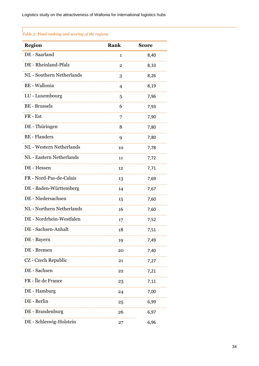## <span id="page-34-0"></span>*Table 3: Final ranking and scoring of the regions*

| <b>Region</b>                   | Rank        | <b>Score</b> |
|---------------------------------|-------------|--------------|
| DE - Saarland                   | 1           | 8,40         |
| DE - Rheinland-Pfalz            | $\mathbf 2$ | 8,33         |
| NL - Southern Netherlands       | 3           | 8,26         |
| <b>BE</b> - Wallonia            | 4           | 8,19         |
| LU - Luxembourg                 | 5           | 7,96         |
| <b>BE</b> - Brussels            | 6           | 7,93         |
| FR-Est                          | 7           | 7,90         |
| DE - Thüringen                  | 8           | 7,80         |
| <b>BE</b> - Flanders            | 9           | 7,80         |
| NL - Western Netherlands        | 10          | 7,78         |
| <b>NL</b> - Eastern Netherlands | 11          | 7,72         |
| DE - Hessen                     | 12          | 7,71         |
| FR - Nord-Pas-de-Calais         | 13          | 7,69         |
| DE - Baden-Württemberg          | 14          | 7,67         |
| DE - Niedersachsen              | 15          | 7,60         |
| NL - Northern Netherlands       | 16          | 7,60         |
| DE - Nordrhein-Westfalen        | 17          | 7,52         |
| DE - Sachsen-Anhalt             | 18          | 7,51         |
| DE - Bayern                     | 19          | 7,49         |
| DE - Bremen                     | 20          | 7,40         |
| CZ - Czech Republic             | 21          | 7,27         |
| DE - Sachsen                    | 22          | 7,21         |
| FR - Île de France              | 23          | 7,11         |
| DE - Hamburg                    | 24          | 7,00         |
| DE - Berlin                     | 25          | 6,99         |
| DE - Brandenburg                | 26          | 6,97         |
| DE - Schleswig-Holstein         | 27          | 6,96         |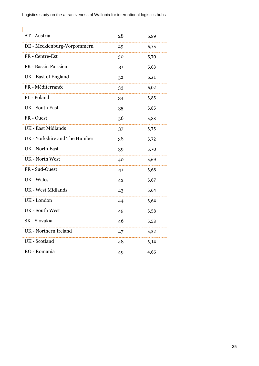Logistics study on the attractiveness of Wallonia for international logistics hubs

**F** 

| AT - Austria                  | 28 | 6,89 |
|-------------------------------|----|------|
| DE - Mecklenburg-Vorpommern   | 29 | 6,75 |
| FR - Centre-Est               | 30 | 6,70 |
| FR - Bassin Parisien          | 31 | 6,63 |
| UK - East of England          | 32 | 6,21 |
| FR - Méditerranée             | 33 | 6,02 |
| PL - Poland                   | 34 | 5,85 |
| <b>UK</b> - South East        | 35 | 5,85 |
| FR-Ouest                      | 36 | 5,83 |
| <b>UK</b> - East Midlands     | 37 | 5,75 |
| UK - Yorkshire and The Humber | 38 | 5,72 |
| <b>UK</b> - North East        | 39 | 5,70 |
| <b>UK</b> - North West        | 40 | 5,69 |
| FR - Sud-Ouest                | 41 | 5,68 |
| UK - Wales                    | 42 | 5,67 |
| <b>UK</b> - West Midlands     | 43 | 5,64 |
| UK - London                   | 44 | 5,64 |
| <b>UK</b> - South West        | 45 | 5,58 |
| SK - Slovakia                 | 46 | 5,53 |
| UK - Northern Ireland         | 47 | 5,32 |
| UK - Scotland                 | 48 | 5,14 |
| RO - Romania                  | 49 | 4,66 |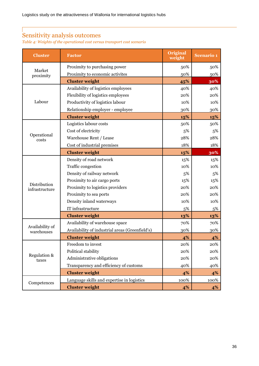## <span id="page-36-0"></span>Sensitivity analysis outcomes

<span id="page-36-1"></span>*Table 4: Weights of the operational cost versus transport cost scenario*

| <b>Cluster</b>                 | <b>Factor</b>                                   | Original<br>weight | <b>Scenario 1</b> |
|--------------------------------|-------------------------------------------------|--------------------|-------------------|
|                                | Proximity to purchasing power                   | 50%                | 50%               |
| Market<br>proximity            | Proximity to economic activites                 | 50%                | 50%               |
|                                | <b>Cluster weight</b>                           | 45%                | 30%               |
|                                | Availability of logistics employees             | 40%                | 40%               |
|                                | Flexibility of logistics employees              | 20%                | 20%               |
| Labour                         | Productivity of logistics labour                | 10%                | 10%               |
|                                | Relationship employer - employee                | 30%                | 30%               |
|                                | <b>Cluster weight</b>                           | 15%                | 15%               |
|                                | Logistics labour costs                          | 50%                | 50%               |
|                                | Cost of electricity                             | 5%                 | 5%                |
| Operational<br>costs           | Warehouse Rent / Lease                          | 28%                | 28%               |
|                                | Cost of industrial premises                     | 18%                | 18%               |
|                                | <b>Cluster weight</b>                           | 15%                | 30%               |
|                                | Density of road network                         | 15%                | 15%               |
|                                | Traffic congestion                              | 10%                | 10%               |
|                                | Density of railway network                      | 5%                 | 5%                |
|                                | Proximity to air cargo ports                    | 15%                | 15%               |
| Distribution<br>infrastructure | Proximity to logistics providers                | 20%                | 20%               |
|                                | Proximity to sea ports                          | 20%                | 20%               |
|                                | Density inland waterways                        | 10%                | 10%               |
|                                | IT infrastructure                               | 5%                 | 5%                |
|                                | <b>Cluster weight</b>                           | 13%                | 13%               |
| Availability of                | Availability of warehouse space                 | 70%                | 70%               |
| warehouses                     | Availability of industrial areas (Greenfield's) | 30%                | 30%               |
|                                | <b>Cluster weight</b>                           | 4%                 | 4%                |
|                                | Freedom to invest                               | 20%                | 20%               |
|                                | Political stability                             | 20%                | 20%               |
| Regulation &<br>taxes          | Administrative obligations                      | 20%                | 20%               |
|                                | Transparency and efficiency of customs          | 40%                | 40%               |
|                                | <b>Cluster weight</b>                           | 4%                 | 4%                |
| Competences                    | Language skills and expertise in logistics      | 100%               | 100%              |
|                                | <b>Cluster weight</b>                           | 4%                 | 4%                |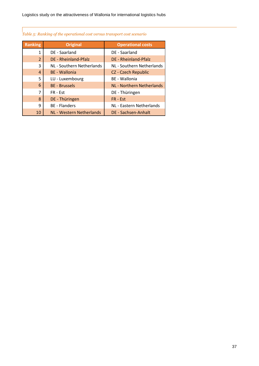## <span id="page-37-0"></span>*Table 5: Ranking of the operational cost versus transport cost scenario*

| <b>Ranking</b> | <b>Original</b>           | <b>Operational costs</b>         |
|----------------|---------------------------|----------------------------------|
| 1              | DE - Saarland             | DE - Saarland                    |
| $\overline{2}$ | DE - Rheinland-Pfalz      | DE - Rheinland-Pfalz             |
| 3              | NL - Southern Netherlands | NL - Southern Netherlands        |
| $\overline{4}$ | <b>BE</b> - Wallonia      | CZ - Czech Republic              |
| 5              | LU - Luxembourg           | BE - Wallonia                    |
| 6              | <b>BE</b> - Brussels      | <b>NL - Northern Netherlands</b> |
| 7              | FR - Est                  | DE - Thüringen                   |
| 8              | DE - Thüringen            | FR - Est                         |
| 9              | <b>BE</b> - Flanders      | NL - Eastern Netherlands         |
| 10             | NL - Western Netherlands  | DE - Sachsen-Anhalt              |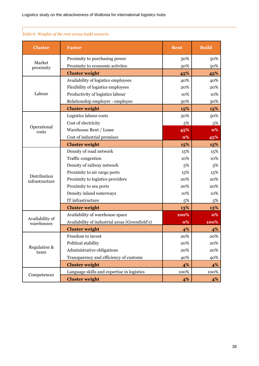| <b>Cluster</b>        | <b>Factor</b>                                   | Rent      | <b>Build</b> |
|-----------------------|-------------------------------------------------|-----------|--------------|
|                       | Proximity to purchasing power                   | 50%       | 50%          |
| Market<br>proximity   | Proximity to economic activites                 | 50%       | 50%          |
|                       | <b>Cluster weight</b>                           | 45%       | 45%          |
|                       | Availability of logistics employees             | 40%       | 40%          |
|                       | Flexibility of logistics employees              | 20%       | 20%          |
| Labour                | Productivity of logistics labour                | 10%       | 10%          |
|                       | Relationship employer - employee                | 30%       | 30%          |
|                       | <b>Cluster weight</b>                           | 15%       | 15%          |
|                       | Logistics labour costs                          | 50%       | 50%          |
|                       | Cost of electricity                             | 5%        | 5%           |
| Operational<br>costs  | Warehouse Rent / Lease                          | 45%       | <b>0%</b>    |
|                       | Cost of industrial premises                     | <b>0%</b> | 45%          |
|                       | <b>Cluster weight</b>                           | 15%       | 15%          |
|                       | Density of road network                         | 15%       | 15%          |
|                       | Traffic congestion                              | 10%       | 10%          |
|                       | Density of railway network                      | 5%        | 5%           |
| Distribution          | Proximity to air cargo ports                    | 15%       | 15%          |
| infrastructure        | Proximity to logistics providers                | 20%       | 20%          |
|                       | Proximity to sea ports                          | 20%       | 20%          |
|                       | Density inland waterways                        | 10%       | 10%          |
|                       | IT infrastructure                               | 5%        | 5%           |
|                       | <b>Cluster weight</b>                           | 13%       | 13%          |
| Availability of       | Availability of warehouse space                 | 100%      | 0%           |
| warehouses            | Availability of industrial areas (Greenfield's) | 0%        | 100%         |
|                       | <b>Cluster weight</b>                           | 4%        | 4%           |
|                       | Freedom to invest                               | 20%       | 20%          |
|                       | Political stability                             | 20%       | 20%          |
| Regulation &<br>taxes | Administrative obligations                      | 20%       | 20%          |
|                       | Transparency and efficiency of customs          | 40%       | 40%          |
|                       | <b>Cluster weight</b>                           | 4%        | 4%           |
| Competences           | Language skills and expertise in logistics      | 100%      | 100%         |
|                       | <b>Cluster weight</b>                           | 4%        | $4\%$        |

## <span id="page-38-0"></span>*Table 6: Weights of the rent versus build scenario*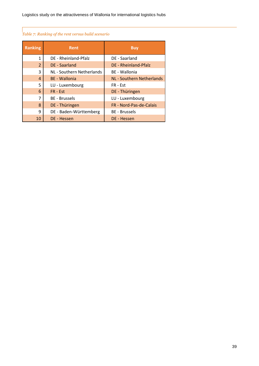## <span id="page-39-0"></span>*Table 7: Ranking of the rent versus build scenario*

| <b>Ranking</b> | <b>Rent</b>               | <b>Buy</b>                       |
|----------------|---------------------------|----------------------------------|
| 1              | DE - Rheinland-Pfalz      | DE - Saarland                    |
| $\overline{2}$ | <b>DE</b> - Saarland      | DE - Rheinland-Pfalz             |
| 3              | NL - Southern Netherlands | BE - Wallonia                    |
| $\overline{4}$ | <b>BE</b> - Wallonia      | <b>NL - Southern Netherlands</b> |
| 5              | LU - Luxembourg           | FR - Est                         |
| 6              | $FR - Est$                | DE - Thüringen                   |
| 7              | <b>BE</b> - Brussels      | LU - Luxembourg                  |
| 8              | DE - Thüringen            | FR - Nord-Pas-de-Calais          |
| 9              | DE - Baden-Württemberg    | <b>BE</b> - Brussels             |
| 10             | DE - Hessen               | DE - Hessen                      |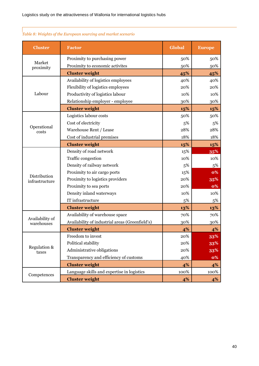| <b>Cluster</b>                | <b>Factor</b>                                   | Global | <b>Europe</b> |
|-------------------------------|-------------------------------------------------|--------|---------------|
|                               | Proximity to purchasing power                   | 50%    | 50%           |
| Market<br>proximity           | Proximity to economic activites                 | 50%    | 50%           |
|                               | <b>Cluster weight</b>                           | 45%    | 45%           |
|                               | Availability of logistics employees             | 40%    | 40%           |
|                               | Flexibility of logistics employees              | 20%    | 20%           |
| Labour                        | Productivity of logistics labour                | 10%    | 10%           |
|                               | Relationship employer - employee                | 30%    | 30%           |
|                               | <b>Cluster weight</b>                           | 15%    | 15%           |
|                               | Logistics labour costs                          | 50%    | 50%           |
|                               | Cost of electricity                             | 5%     | 5%            |
| Operational<br>costs          | Warehouse Rent / Lease                          | 28%    | 28%           |
|                               | Cost of industrial premises                     | 18%    | 18%           |
|                               | <b>Cluster weight</b>                           | 15%    | 15%           |
|                               | Density of road network                         | 15%    | 35%           |
|                               | Traffic congestion                              | 10%    | 10%           |
|                               | Density of railway network                      | 5%     | 5%            |
| Distribution                  | Proximity to air cargo ports                    | 15%    | 0%            |
| infrastructure                | Proximity to logistics providers                | 20%    | 35%           |
|                               | Proximity to sea ports                          | 20%    | 0%            |
|                               | Density inland waterways                        | 10%    | 10%           |
|                               | IT infrastructure                               | 5%     | 5%            |
|                               | <b>Cluster weight</b>                           | 13%    | 13%           |
|                               | Availability of warehouse space                 | 70%    | 70%           |
| Availability of<br>warehouses | Availability of industrial areas (Greenfield's) | 30%    | 30%           |
|                               | <b>Cluster weight</b>                           | 4%     | 4%            |
|                               | Freedom to invest                               | 20%    | 33%           |
|                               | Political stability                             | 20%    | 33%           |
| Regulation &<br>taxes         | Administrative obligations                      | 20%    | 33%           |
|                               | Transparency and efficiency of customs          | 40%    | 0%            |
|                               | <b>Cluster weight</b>                           | 4%     | 4%            |
|                               | Language skills and expertise in logistics      | 100%   | 100%          |
| Competences                   | <b>Cluster weight</b>                           | 4%     | 4%            |

## <span id="page-40-0"></span>*Table 8: Weights of the European sourcing and market scenario*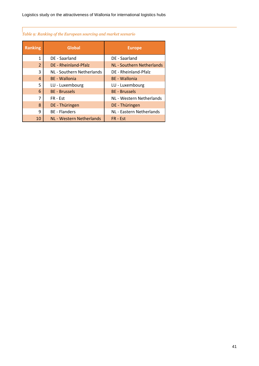## <span id="page-41-0"></span>*Table 9: Ranking of the European sourcing and market scenario*

| <b>Ranking</b> | <b>Global</b>             | <b>Europe</b>                    |
|----------------|---------------------------|----------------------------------|
| 1              | DE - Saarland             | DE - Saarland                    |
| $\overline{2}$ | DE - Rheinland-Pfalz      | <b>NL - Southern Netherlands</b> |
| 3              | NL - Southern Netherlands | DE - Rheinland-Pfalz             |
| $\overline{4}$ | <b>BE</b> - Wallonia      | <b>BE</b> - Wallonia             |
| 5              | LU - Luxembourg           | LU - Luxembourg                  |
| 6              | <b>BE</b> - Brussels      | <b>BE</b> - Brussels             |
| 7              | FR - Est                  | NL - Western Netherlands         |
| 8              | DE - Thüringen            | DE - Thüringen                   |
| 9              | <b>BE</b> - Flanders      | NL - Eastern Netherlands         |
| 10             | NL - Western Netherlands  | $FR - Est$                       |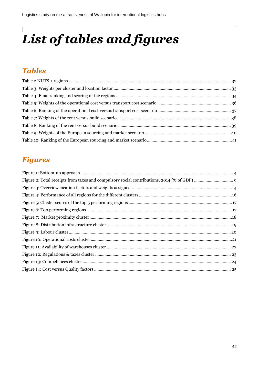# <span id="page-42-0"></span>*List of tables and figures*

## <span id="page-42-1"></span>*Tables*

## <span id="page-42-2"></span>*Figures*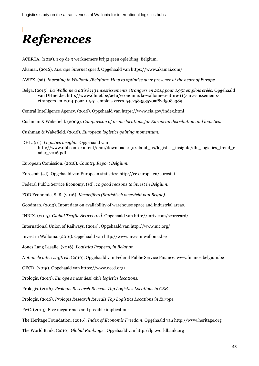# <span id="page-43-0"></span>*References*

ACERTA. (2015). 1 op de 3 werknemers krijgt geen opleiding. Belgium.

Akamai. (2016). *Average internet speed*. Opgehaald van https://www.akamai.com/

AWEX. (sd). *Investing in Wallonia/Belgium: How to optimise your presence at the heart of Europe.*

Belga. (2015). *La Wallonie a attiré 113 investissements étrangers en 2014 pour 1.951 emplois créés.* Opgehaald van DHnet.be: http://www.dhnet.be/actu/economie/la-wallonie-a-attire-113-investissementsetrangers-en-2014-pour-1-951-emplois-crees-54c258353570af82d508a389

Central Intelligence Agency. (2016). Opgehaald van https://www.cia.gov/index.html

Cushman & Wakefield. (2009). *Comparison of prime locations for European distribution and logistics.*

Cushman & Wakefield. (2016). *European logistics gaining momentum.*

DHL. (sd). *Logistics insights*. Opgehaald van http://www.dhl.com/content/dam/downloads/g0/about\_us/logistics\_insights/dhl\_logistics\_trend\_r adar\_2016.pdf

European Comission. (2016). *Country Report Belgium.*

Eurostat. (sd). Opgehaald van European statistics: http://ec.europa.eu/eurostat

Federal Public Service Economy. (sd). *10 good reasons to invest in Belgium.*

FOD Economie, S. B. (2016). *Kerncijfers (Statistisch overzicht van België).*

Goodman. (2013). Input data on availability of warehouse space and industrial areas.

INRIX. (2015). *Global Traffic Scorecard*. Opgehaald van http://inrix.com/scorecard/

International Union of Railways. (2014). Opgehaald van http://www.uic.org/

Invest in Wallonia. (2016). Opgehaald van http://www.investinwallonia.be/

Jones Lang Lasalle. (2016). *Logistics Property in Belgium.*

*Notionele interestaftrek*. (2016). Opgehaald van Federal Public Service Finance: www.finance.belgium.be

OECD. (2015). Opgehaald van https://www.oecd.org/

Prologis. (2013). *Europe's most desirable logistics locations.*

Prologis. (2016). *Prologis Research Reveals Top Logistics Locations in CEE.*

Prologis. (2016). *Prologis Research Reveals Top Logistics Locations in Europe.*

PwC. (2013). Five megatrends and possible implications.

The Heritage Foundation. (2016). *Index of Economic Freedom*. Opgehaald van http://www.heritage.org

The World Bank. (2016). *Global Rankings* . Opgehaald van http://lpi.worldbank.org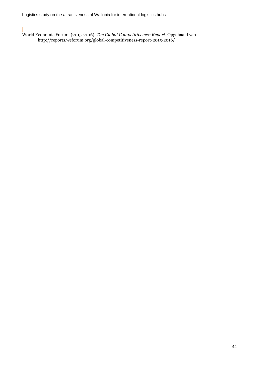World Economic Forum. (2015-2016). *The Global Competitiveness Report*. Opgehaald van http://reports.weforum.org/global-competitiveness-report-2015-2016/